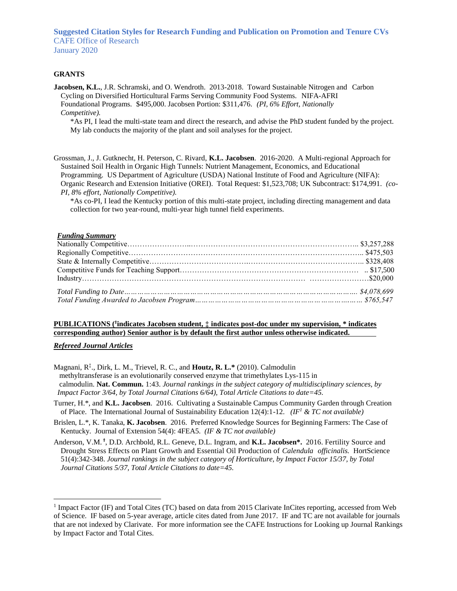**Suggested Citation Styles for Research Funding and Publication on Promotion and Tenure CVs** CAFE Office of Research January 2020

## **GRANTS**

**Jacobsen, K.L.**, J.R. Schramski, and O. Wendroth. 2013-2018. Toward Sustainable Nitrogen and Carbon Cycling on Diversified Horticultural Farms Serving Community Food Systems. NIFA-AFRI Foundational Programs. \$495,000. Jacobsen Portion: \$311,476. *(PI, 6% Effort, Nationally Competitive).*

\*As PI, I lead the multi-state team and direct the research, and advise the PhD student funded by the project. My lab conducts the majority of the plant and soil analyses for the project.

Grossman, J., J. Gutknecht, H. Peterson, C. Rivard, **K.L. Jacobsen**. 2016-2020. A Multi-regional Approach for Sustained Soil Health in Organic High Tunnels: Nutrient Management, Economics, and Educational Programming. US Department of Agriculture (USDA) National Institute of Food and Agriculture (NIFA): Organic Research and Extension Initiative (OREI). Total Request: \$1,523,708; UK Subcontract: \$174,991. *(co-PI, 8% effort, Nationally Competitive).* 

\*As co-PI, I lead the Kentucky portion of this multi-state project, including directing management and data collection for two year-round, multi-year high tunnel field experiments.

#### *Funding Summary*

## **PUBLICATIONS (<sup>ϯ</sup> indicates Jacobsen student, ‡ indicates post-doc under my supervision, \* indicates corresponding author) Senior author is by default the first author unless otherwise indicated.**

### *Refereed Journal Articles*

 $\overline{a}$ 

Magnani, R‡ ., Dirk, L. M., Trievel, R. C., and **Houtz, R. L.\*** (2010). Calmodulin methyltransferase is an evolutionarily conserved enzyme that trimethylates Lys-115 in calmodulin. **Nat. Commun.** 1:43. *Journal rankings in the subject category of multidisciplinary sciences, by Impact Factor 3/64, by Total Journal Citations 6/64), Total Article Citations to date=45.*

Turner, H.\*, and **K.L. Jacobsen**. 2016. Cultivating a Sustainable Campus Community Garden through Creation of Place. The International Journal of Sustainability Education 12(4):1-12. *(IF<sup>1</sup> & TC not available)*

Brislen, L.\*, K. Tanaka, **K. Jacobsen**. 2016. Preferred Knowledge Sources for Beginning Farmers: The Case of Kentucky. Journal of Extension 54(4): 4FEA5. *(IF & TC not available)*

Anderson, V.M. **<sup>ϯ</sup>** , D.D. Archbold, R.L. Geneve, D.L. Ingram, and **K.L. Jacobsen\*.** 2016. Fertility Source and Drought Stress Effects on Plant Growth and Essential Oil Production of *Calendula officinalis.* HortScience 51(4):342-348. *Journal rankings in the subject category of Horticulture, by Impact Factor 15/37, by Total Journal Citations 5/37, Total Article Citations to date=45.*

<sup>&</sup>lt;sup>1</sup> Impact Factor (IF) and Total Cites (TC) based on data from 2015 Clarivate InCites reporting, accessed from Web of Science. IF based on 5-year average, article cites dated from June 2017. IF and TC are not available for journals that are not indexed by Clarivate. For more information see the CAFE Instructions for Looking up Journal Rankings by Impact Factor and Total Cites.